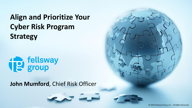**Align and Prioritize Your Cyber Risk Program Strategy**



**John Mumford**, Chief Risk Officer



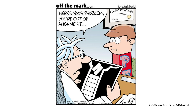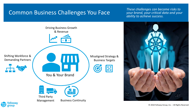### Common Business Challenges You Face

*These challenges can become risks to your brand, your critical data and your ability to achieve success.*



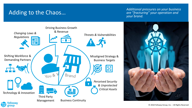### Adding to the Chaos…

*Additional pressures on your business are "fracturing" your operation and your brand.*



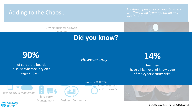#### Adding to the Chaos…

*Additional pressures on your business are "fracturing" your operation and your brand.*

Driving Business Growth & Revenue

# **Did you know?**



*Changing Laws &* 

of corporate boards discuss cybersecurity on a regular basis…

#### Misaligned Strategy & rer only… \_

## *However only…* **14%**

feel they have a high level of knowledge of the cybersecurity risks.



fellswav group

*Technology & Innovation*

Third Party Management



Business Continuity

*Perceived Security*  Source- NACD, 2017-18 *& Unprotected* 

*Critical Assets*

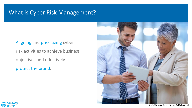### What is Cyber Risk Management?

#### Aligning and prioritizing cyber

risk activities to achieve business objectives and effectively

protect the brand.





© 2018 Fellsway Group, Inc. – All Rights Reserved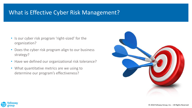### What is Effective Cyber Risk Management?

- Is our cyber risk program 'right-sized' for the organization?
- Does the cyber risk program align to our business strategy?
- Have we defined our organizational risk tolerance?
- What quantitative metrics are we using to determine our program's effectiveness?



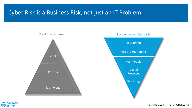### Cyber Risk is a Business Risk, not just an IT Problem





#### Recommended Approach

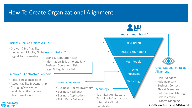### How To Create Organizational Alignment

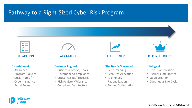### Pathway to a Right-Sized Cyber Risk Program





#### **Foundational**

- Awareness
- Program/Policies
- Crisis Mgmt./IR
- Cyber Insurance
- Brand Focus

#### **Business Aligned**

- Business Context/Goals
- Governance/Compliance
- Critical Assets/Processes
- Risk Register/Tolerance
- Compliant Architecture



#### **Effective & Measured**

- Benchmarking
- Resource Allocation
- Technology Rationalization
- Budget Optimization



PREPARATION ALIGNMENT EFFECTIVENESS RISK INTELLIGENCE

#### **Intelligent**

- Risk Quantification
- Business Intelligence
- Value Creation
- Continuous Life-Cycle

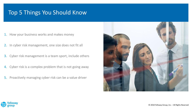#### Top 5 Things You Should Know

- 1. How your business works and makes money
- 2. In cyber risk management, one size does not fit all
- 3. Cyber risk management is a team sport, include others
- 4. Cyber risk is a complex problem that is not going away
- 5. Proactively managing cyber risk can be a value driver



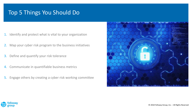#### Top 5 Things You Should Do

- 1. Identify and protect what is vital to your organization
- 2. Map your cyber risk program to the business initiatives
- 3. Define and quantify your risk tolerance
- 4. Communicate in quantifiable business metrics
- 5. Engage others by creating a cyber risk working committee



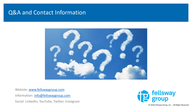#### Q&A and Contact Information



Website: [www.fellswaygroup.com](http://www.fellswaygroup.com/) Information: [info@fellswaygroup.com](mailto:info@fellswaygroup.com) Social: LinkedIn, YouTube, Twitter, Instagram



© 2018 Fellsway Group, Inc. – All Rights Reserved